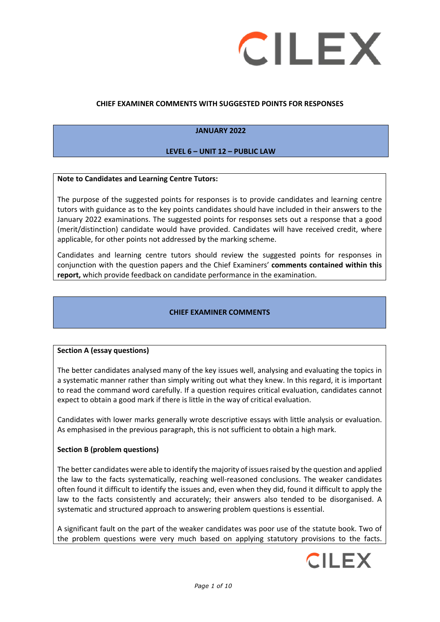

# **CHIEF EXAMINER COMMENTS WITH SUGGESTED POINTS FOR RESPONSES**

# **JANUARY 2022**

### **LEVEL 6 – UNIT 12 – PUBLIC LAW**

#### **Note to Candidates and Learning Centre Tutors:**

The purpose of the suggested points for responses is to provide candidates and learning centre tutors with guidance as to the key points candidates should have included in their answers to the January 2022 examinations. The suggested points for responses sets out a response that a good (merit/distinction) candidate would have provided. Candidates will have received credit, where applicable, for other points not addressed by the marking scheme.

Candidates and learning centre tutors should review the suggested points for responses in conjunction with the question papers and the Chief Examiners' **comments contained within this report,** which provide feedback on candidate performance in the examination.

#### **CHIEF EXAMINER COMMENTS**

### **Section A (essay questions)**

The better candidates analysed many of the key issues well, analysing and evaluating the topics in a systematic manner rather than simply writing out what they knew. In this regard, it is important to read the command word carefully. If a question requires critical evaluation, candidates cannot expect to obtain a good mark if there is little in the way of critical evaluation.

Candidates with lower marks generally wrote descriptive essays with little analysis or evaluation. As emphasised in the previous paragraph, this is not sufficient to obtain a high mark.

#### **Section B (problem questions)**

The better candidates were able to identify the majority of issues raised by the question and applied the law to the facts systematically, reaching well-reasoned conclusions. The weaker candidates often found it difficult to identify the issues and, even when they did, found it difficult to apply the law to the facts consistently and accurately; their answers also tended to be disorganised. A systematic and structured approach to answering problem questions is essential.

A significant fault on the part of the weaker candidates was poor use of the statute book. Two of the problem questions were very much based on applying statutory provisions to the facts.

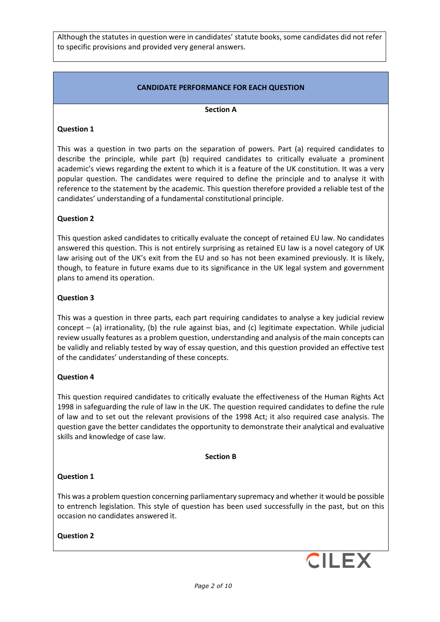Although the statutes in question were in candidates' statute books, some candidates did not refer to specific provisions and provided very general answers.

# **CANDIDATE PERFORMANCE FOR EACH QUESTION**

### **Section A**

# **Question 1**

This was a question in two parts on the separation of powers. Part (a) required candidates to describe the principle, while part (b) required candidates to critically evaluate a prominent academic's views regarding the extent to which it is a feature of the UK constitution. It was a very popular question. The candidates were required to define the principle and to analyse it with reference to the statement by the academic. This question therefore provided a reliable test of the candidates' understanding of a fundamental constitutional principle.

# **Question 2**

This question asked candidates to critically evaluate the concept of retained EU law. No candidates answered this question. This is not entirely surprising as retained EU law is a novel category of UK law arising out of the UK's exit from the EU and so has not been examined previously. It is likely, though, to feature in future exams due to its significance in the UK legal system and government plans to amend its operation.

### **Question 3**

This was a question in three parts, each part requiring candidates to analyse a key judicial review concept – (a) irrationality, (b) the rule against bias, and (c) legitimate expectation. While judicial review usually features as a problem question, understanding and analysis of the main concepts can be validly and reliably tested by way of essay question, and this question provided an effective test of the candidates' understanding of these concepts.

### **Question 4**

This question required candidates to critically evaluate the effectiveness of the Human Rights Act 1998 in safeguarding the rule of law in the UK. The question required candidates to define the rule of law and to set out the relevant provisions of the 1998 Act; it also required case analysis. The question gave the better candidates the opportunity to demonstrate their analytical and evaluative skills and knowledge of case law.

#### **Section B**

### **Question 1**

This was a problem question concerning parliamentary supremacy and whether it would be possible to entrench legislation. This style of question has been used successfully in the past, but on this occasion no candidates answered it.

### **Question 2**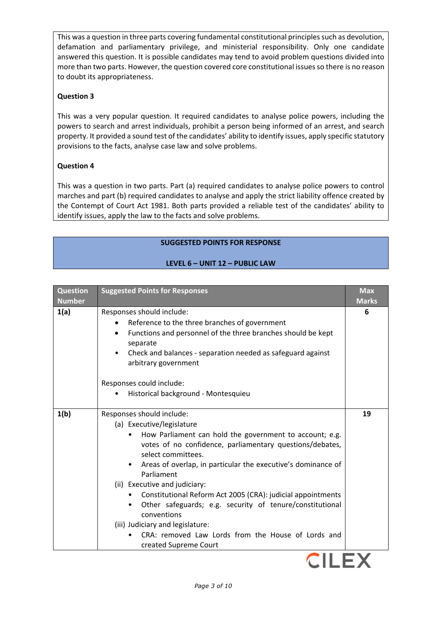This was a question in three parts covering fundamental constitutional principles such as devolution, defamation and parliamentary privilege, and ministerial responsibility. Only one candidate answered this question. It is possible candidates may tend to avoid problem questions divided into more than two parts. However, the question covered core constitutional issues so there is no reason to doubt its appropriateness.

# **Question 3**

This was a very popular question. It required candidates to analyse police powers, including the powers to search and arrest individuals, prohibit a person being informed of an arrest, and search property. It provided a sound test of the candidates' ability to identify issues, apply specific statutory provisions to the facts, analyse case law and solve problems.

# **Question 4**

This was a question in two parts. Part (a) required candidates to analyse police powers to control marches and part (b) required candidates to analyse and apply the strict liability offence created by the Contempt of Court Act 1981. Both parts provided a reliable test of the candidates' ability to identify issues, apply the law to the facts and solve problems.

# **SUGGESTED POINTS FOR RESPONSE**

# **LEVEL 6 – UNIT 12 – PUBLIC LAW**

| <b>Question</b><br><b>Number</b> | <b>Suggested Points for Responses</b>                                                                                                                                                                                                                                                                                                                                                                                                                                                                                                                                                                                     | <b>Max</b><br><b>Marks</b> |
|----------------------------------|---------------------------------------------------------------------------------------------------------------------------------------------------------------------------------------------------------------------------------------------------------------------------------------------------------------------------------------------------------------------------------------------------------------------------------------------------------------------------------------------------------------------------------------------------------------------------------------------------------------------------|----------------------------|
| 1(a)                             | Responses should include:<br>Reference to the three branches of government<br>Functions and personnel of the three branches should be kept<br>$\bullet$<br>separate<br>Check and balances - separation needed as safeguard against<br>arbitrary government<br>Responses could include:<br>Historical background - Montesquieu                                                                                                                                                                                                                                                                                             | 6                          |
| 1(b)                             | Responses should include:<br>(a) Executive/legislature<br>How Parliament can hold the government to account; e.g.<br>votes of no confidence, parliamentary questions/debates,<br>select committees.<br>Areas of overlap, in particular the executive's dominance of<br>Parliament<br>(ii) Executive and judiciary:<br>Constitutional Reform Act 2005 (CRA): judicial appointments<br>Other safeguards; e.g. security of tenure/constitutional<br>conventions<br>(iii) Judiciary and legislature:<br>CRA: removed Law Lords from the House of Lords and<br>created Supreme Court<br><b>PERSONAL PROPERTY AND RESIDENTS</b> | 19                         |

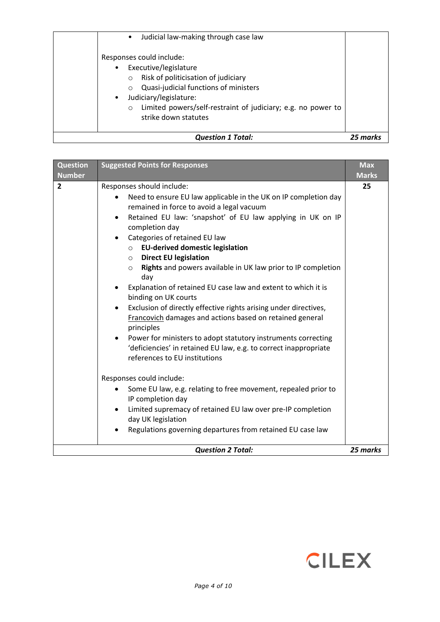| Judicial law-making through case law<br>$\bullet$                                                                                                                                                                                                                                      |          |
|----------------------------------------------------------------------------------------------------------------------------------------------------------------------------------------------------------------------------------------------------------------------------------------|----------|
| Responses could include:<br>Executive/legislature<br>Risk of politicisation of judiciary<br>$\circ$<br>Quasi-judicial functions of ministers<br>Judiciary/legislature:<br>$\bullet$<br>Limited powers/self-restraint of judiciary; e.g. no power to<br>$\circ$<br>strike down statutes |          |
| <b>Question 1 Total:</b>                                                                                                                                                                                                                                                               | 25 marks |

| <b>Question</b>                 | <b>Suggested Points for Responses</b>                                                                                                                                                                                                                                                                                                                                                                                                                                                                                                                                                                                                                                                                                                                                                                                                                                                                                                                                                                                                                                                                                                                                               | <b>Max</b>         |
|---------------------------------|-------------------------------------------------------------------------------------------------------------------------------------------------------------------------------------------------------------------------------------------------------------------------------------------------------------------------------------------------------------------------------------------------------------------------------------------------------------------------------------------------------------------------------------------------------------------------------------------------------------------------------------------------------------------------------------------------------------------------------------------------------------------------------------------------------------------------------------------------------------------------------------------------------------------------------------------------------------------------------------------------------------------------------------------------------------------------------------------------------------------------------------------------------------------------------------|--------------------|
| <b>Number</b><br>$\overline{2}$ | Responses should include:<br>Need to ensure EU law applicable in the UK on IP completion day<br>remained in force to avoid a legal vacuum<br>Retained EU law: 'snapshot' of EU law applying in UK on IP<br>$\bullet$<br>completion day<br>Categories of retained EU law<br>$\bullet$<br><b>EU-derived domestic legislation</b><br>$\circ$<br><b>Direct EU legislation</b><br>$\circ$<br>Rights and powers available in UK law prior to IP completion<br>$\circ$<br>day<br>Explanation of retained EU case law and extent to which it is<br>binding on UK courts<br>Exclusion of directly effective rights arising under directives,<br>$\bullet$<br>Francovich damages and actions based on retained general<br>principles<br>Power for ministers to adopt statutory instruments correcting<br>'deficiencies' in retained EU law, e.g. to correct inappropriate<br>references to EU institutions<br>Responses could include:<br>Some EU law, e.g. relating to free movement, repealed prior to<br>$\bullet$<br>IP completion day<br>Limited supremacy of retained EU law over pre-IP completion<br>day UK legislation<br>Regulations governing departures from retained EU case law | <b>Marks</b><br>25 |
|                                 | <b>Question 2 Total:</b>                                                                                                                                                                                                                                                                                                                                                                                                                                                                                                                                                                                                                                                                                                                                                                                                                                                                                                                                                                                                                                                                                                                                                            | 25 marks           |

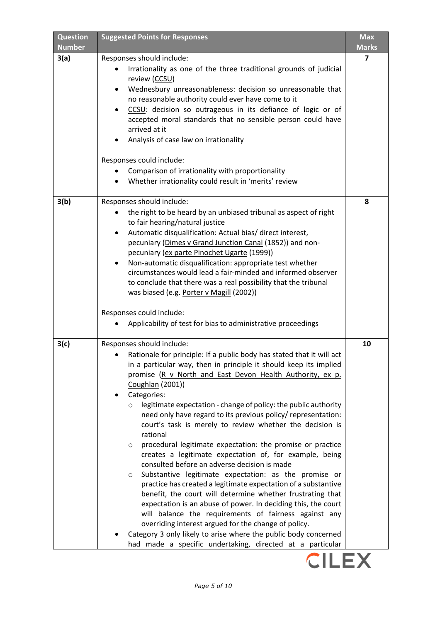| <b>Question</b><br><b>Number</b> | <b>Suggested Points for Responses</b>                                                                                                                                                                                                                                                                                                                                                                                                                                                                                                                                                                                                                                                                                                                                                                                                                                                                                                                                                                                                       | <b>Max</b><br><b>Marks</b> |
|----------------------------------|---------------------------------------------------------------------------------------------------------------------------------------------------------------------------------------------------------------------------------------------------------------------------------------------------------------------------------------------------------------------------------------------------------------------------------------------------------------------------------------------------------------------------------------------------------------------------------------------------------------------------------------------------------------------------------------------------------------------------------------------------------------------------------------------------------------------------------------------------------------------------------------------------------------------------------------------------------------------------------------------------------------------------------------------|----------------------------|
| 3(a)                             | Responses should include:<br>Irrationality as one of the three traditional grounds of judicial<br>review (CCSU)                                                                                                                                                                                                                                                                                                                                                                                                                                                                                                                                                                                                                                                                                                                                                                                                                                                                                                                             | 7                          |
|                                  | Wednesbury unreasonableness: decision so unreasonable that<br>no reasonable authority could ever have come to it<br>CCSU: decision so outrageous in its defiance of logic or of<br>accepted moral standards that no sensible person could have<br>arrived at it<br>Analysis of case law on irrationality<br>Responses could include:<br>Comparison of irrationality with proportionality<br>Whether irrationality could result in 'merits' review                                                                                                                                                                                                                                                                                                                                                                                                                                                                                                                                                                                           |                            |
| 3(b)                             | Responses should include:                                                                                                                                                                                                                                                                                                                                                                                                                                                                                                                                                                                                                                                                                                                                                                                                                                                                                                                                                                                                                   | 8                          |
|                                  | the right to be heard by an unbiased tribunal as aspect of right<br>to fair hearing/natural justice<br>Automatic disqualification: Actual bias/ direct interest,<br>$\bullet$<br>pecuniary (Dimes v Grand Junction Canal (1852)) and non-<br>pecuniary (ex parte Pinochet Ugarte (1999))<br>Non-automatic disqualification: appropriate test whether<br>٠<br>circumstances would lead a fair-minded and informed observer<br>to conclude that there was a real possibility that the tribunal<br>was biased (e.g. Porter v Magill (2002))                                                                                                                                                                                                                                                                                                                                                                                                                                                                                                    |                            |
|                                  | Responses could include:<br>Applicability of test for bias to administrative proceedings                                                                                                                                                                                                                                                                                                                                                                                                                                                                                                                                                                                                                                                                                                                                                                                                                                                                                                                                                    |                            |
| 3(c)                             | Responses should include:                                                                                                                                                                                                                                                                                                                                                                                                                                                                                                                                                                                                                                                                                                                                                                                                                                                                                                                                                                                                                   | 10                         |
|                                  | Rationale for principle: If a public body has stated that it will act<br>in a particular way, then in principle it should keep its implied<br>promise (R v North and East Devon Health Authority, ex p.<br>Coughlan (2001))<br>Categories:<br>legitimate expectation - change of policy: the public authority<br>$\circ$<br>need only have regard to its previous policy/ representation:<br>court's task is merely to review whether the decision is<br>rational<br>procedural legitimate expectation: the promise or practice<br>$\circ$<br>creates a legitimate expectation of, for example, being<br>consulted before an adverse decision is made<br>Substantive legitimate expectation: as the promise or<br>$\circ$<br>practice has created a legitimate expectation of a substantive<br>benefit, the court will determine whether frustrating that<br>expectation is an abuse of power. In deciding this, the court<br>will balance the requirements of fairness against any<br>overriding interest argued for the change of policy. |                            |
|                                  | Category 3 only likely to arise where the public body concerned<br>had made a specific undertaking, directed at a particular                                                                                                                                                                                                                                                                                                                                                                                                                                                                                                                                                                                                                                                                                                                                                                                                                                                                                                                |                            |

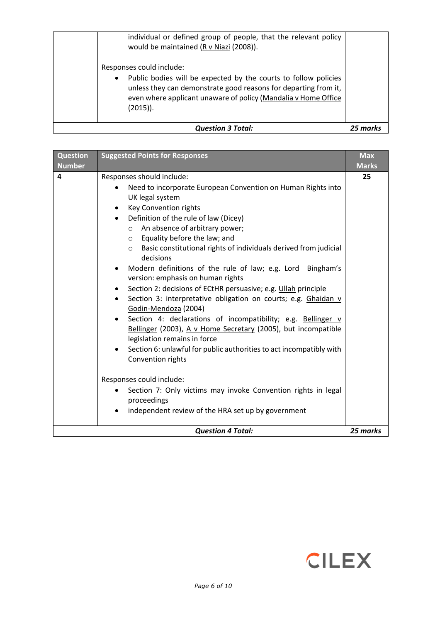| <b>Question 3 Total:</b>                                                                                                                                                                                                                                  |  |
|-----------------------------------------------------------------------------------------------------------------------------------------------------------------------------------------------------------------------------------------------------------|--|
| Responses could include:<br>Public bodies will be expected by the courts to follow policies<br>$\bullet$<br>unless they can demonstrate good reasons for departing from it,<br>even where applicant unaware of policy (Mandalia v Home Office<br>(2015)). |  |
| individual or defined group of people, that the relevant policy<br>would be maintained (R v Niazi (2008)).                                                                                                                                                |  |

| <b>Question</b><br><b>Number</b> | <b>Suggested Points for Responses</b>                                                                                                                                                                                                                                                                                                                                                                                                                                                                                                                                                                                                                                                                                                                                                                                                                                                                                                                                                                                                                                                                                                               | <b>Max</b><br><b>Marks</b> |
|----------------------------------|-----------------------------------------------------------------------------------------------------------------------------------------------------------------------------------------------------------------------------------------------------------------------------------------------------------------------------------------------------------------------------------------------------------------------------------------------------------------------------------------------------------------------------------------------------------------------------------------------------------------------------------------------------------------------------------------------------------------------------------------------------------------------------------------------------------------------------------------------------------------------------------------------------------------------------------------------------------------------------------------------------------------------------------------------------------------------------------------------------------------------------------------------------|----------------------------|
| 4                                | Responses should include:<br>Need to incorporate European Convention on Human Rights into<br>UK legal system<br>Key Convention rights<br>$\bullet$<br>Definition of the rule of law (Dicey)<br>$\bullet$<br>An absence of arbitrary power;<br>$\circ$<br>Equality before the law; and<br>$\circ$<br>Basic constitutional rights of individuals derived from judicial<br>$\circ$<br>decisions<br>Modern definitions of the rule of law; e.g. Lord Bingham's<br>$\bullet$<br>version: emphasis on human rights<br>Section 2: decisions of ECtHR persuasive; e.g. Ullah principle<br>٠<br>Section 3: interpretative obligation on courts; e.g. Ghaidan v<br>$\bullet$<br>Godin-Mendoza (2004)<br>Section 4: declarations of incompatibility; e.g. Bellinger v<br>$\bullet$<br>Bellinger (2003), A v Home Secretary (2005), but incompatible<br>legislation remains in force<br>Section 6: unlawful for public authorities to act incompatibly with<br>Convention rights<br>Responses could include:<br>Section 7: Only victims may invoke Convention rights in legal<br>proceedings<br>independent review of the HRA set up by government<br>$\bullet$ | 25                         |
|                                  | <b>Question 4 Total:</b>                                                                                                                                                                                                                                                                                                                                                                                                                                                                                                                                                                                                                                                                                                                                                                                                                                                                                                                                                                                                                                                                                                                            | 25 marks                   |

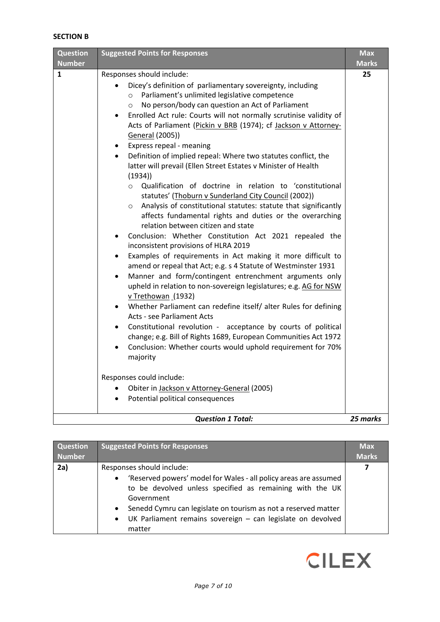# **SECTION B**

| <b>Question</b><br><b>Number</b> | <b>Suggested Points for Responses</b>                                                                                                                                                                                                                                                                                                                                                                                                                                                                                                                                                                                                                                                                                                                                                                                                                                                                                                                                                                                                                                                                                                                                                                                                                                                                                                                                                                                                                                                                                                                                                                                                                                                                                                                                                      | <b>Max</b><br><b>Marks</b> |
|----------------------------------|--------------------------------------------------------------------------------------------------------------------------------------------------------------------------------------------------------------------------------------------------------------------------------------------------------------------------------------------------------------------------------------------------------------------------------------------------------------------------------------------------------------------------------------------------------------------------------------------------------------------------------------------------------------------------------------------------------------------------------------------------------------------------------------------------------------------------------------------------------------------------------------------------------------------------------------------------------------------------------------------------------------------------------------------------------------------------------------------------------------------------------------------------------------------------------------------------------------------------------------------------------------------------------------------------------------------------------------------------------------------------------------------------------------------------------------------------------------------------------------------------------------------------------------------------------------------------------------------------------------------------------------------------------------------------------------------------------------------------------------------------------------------------------------------|----------------------------|
| 1                                | Responses should include:<br>Dicey's definition of parliamentary sovereignty, including<br>$\bullet$<br>Parliament's unlimited legislative competence<br>$\circ$<br>No person/body can question an Act of Parliament<br>$\circ$<br>Enrolled Act rule: Courts will not normally scrutinise validity of<br>$\bullet$<br>Acts of Parliament (Pickin v BRB (1974); cf Jackson v Attorney-<br>General (2005))<br>Express repeal - meaning<br>$\bullet$<br>Definition of implied repeal: Where two statutes conflict, the<br>$\bullet$<br>latter will prevail (Ellen Street Estates v Minister of Health<br>(1934)<br>Qualification of doctrine in relation to 'constitutional<br>$\circ$<br>statutes' (Thoburn v Sunderland City Council (2002))<br>Analysis of constitutional statutes: statute that significantly<br>$\circ$<br>affects fundamental rights and duties or the overarching<br>relation between citizen and state<br>Conclusion: Whether Constitution Act 2021 repealed the<br>inconsistent provisions of HLRA 2019<br>Examples of requirements in Act making it more difficult to<br>$\bullet$<br>amend or repeal that Act; e.g. s 4 Statute of Westminster 1931<br>Manner and form/contingent entrenchment arguments only<br>$\bullet$<br>upheld in relation to non-sovereign legislatures; e.g. AG for NSW<br>v Trethowan (1932)<br>Whether Parliament can redefine itself/ alter Rules for defining<br>Acts - see Parliament Acts<br>Constitutional revolution - acceptance by courts of political<br>change; e.g. Bill of Rights 1689, European Communities Act 1972<br>Conclusion: Whether courts would uphold requirement for 70%<br>majority<br>Responses could include:<br>Obiter in Jackson v Attorney-General (2005)<br>$\bullet$<br>Potential political consequences | 25                         |
|                                  | <b>Question 1 Total:</b>                                                                                                                                                                                                                                                                                                                                                                                                                                                                                                                                                                                                                                                                                                                                                                                                                                                                                                                                                                                                                                                                                                                                                                                                                                                                                                                                                                                                                                                                                                                                                                                                                                                                                                                                                                   | 25 marks                   |

| <b>Question</b> | <b>Suggested Points for Responses</b>                                                                                                                                                                                                                                                                                        | <b>Max</b>   |
|-----------------|------------------------------------------------------------------------------------------------------------------------------------------------------------------------------------------------------------------------------------------------------------------------------------------------------------------------------|--------------|
| <b>Number</b>   |                                                                                                                                                                                                                                                                                                                              | <b>Marks</b> |
| 2a)             | Responses should include:                                                                                                                                                                                                                                                                                                    | 7            |
|                 | 'Reserved powers' model for Wales - all policy areas are assumed<br>$\bullet$<br>to be devolved unless specified as remaining with the UK<br>Government<br>Senedd Cymru can legislate on tourism as not a reserved matter<br>$\bullet$<br>UK Parliament remains sovereign - can legislate on devolved<br>$\bullet$<br>matter |              |

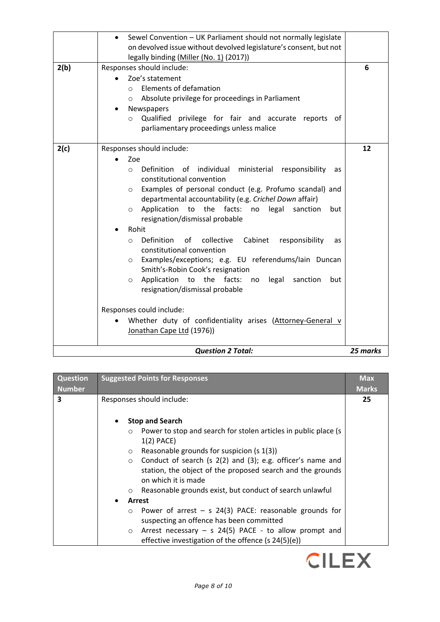|      | Sewel Convention - UK Parliament should not normally legislate<br>on devolved issue without devolved legislature's consent, but not<br>legally binding (Miller (No. 1) (2017))                                                                                                                                                                                                                                                                                                                                                                                                                                                                                                                                                                                                                                                                             |          |
|------|------------------------------------------------------------------------------------------------------------------------------------------------------------------------------------------------------------------------------------------------------------------------------------------------------------------------------------------------------------------------------------------------------------------------------------------------------------------------------------------------------------------------------------------------------------------------------------------------------------------------------------------------------------------------------------------------------------------------------------------------------------------------------------------------------------------------------------------------------------|----------|
| 2(b) | Responses should include:<br>Zoe's statement<br>Elements of defamation<br>$\circ$<br>Absolute privilege for proceedings in Parliament<br>$\circ$<br>Newspapers<br>Qualified<br>privilege for fair and accurate reports of<br>$\circ$<br>parliamentary proceedings unless malice                                                                                                                                                                                                                                                                                                                                                                                                                                                                                                                                                                            | 6        |
| 2(c) | Responses should include:<br>Zoe<br>individual ministerial responsibility<br>Definition<br>of<br>$\circ$<br>as<br>constitutional convention<br>Examples of personal conduct (e.g. Profumo scandal) and<br>$\circ$<br>departmental accountability (e.g. Crichel Down affair)<br>Application to the facts:<br>legal<br>no<br>sanction<br>but<br>$\circ$<br>resignation/dismissal probable<br>Rohit<br>Definition<br>collective<br>Cabinet<br>responsibility<br>0f<br>as<br>$\circ$<br>constitutional convention<br>Examples/exceptions; e.g. EU referendums/Iain Duncan<br>$\circ$<br>Smith's-Robin Cook's resignation<br>Application<br>to the facts:<br>legal<br>sanction<br>but<br>no<br>$\circ$<br>resignation/dismissal probable<br>Responses could include:<br>Whether duty of confidentiality arises (Attorney-General v<br>Jonathan Cape Ltd (1976)) | 12       |
|      | <b>Question 2 Total:</b>                                                                                                                                                                                                                                                                                                                                                                                                                                                                                                                                                                                                                                                                                                                                                                                                                                   | 25 marks |

| <b>Question</b><br><b>Number</b> | <b>Suggested Points for Responses</b>                                                                                                                                                                                                                                                                                                                                                                                                                                                                                                                              | <b>Max</b><br><b>Marks</b> |
|----------------------------------|--------------------------------------------------------------------------------------------------------------------------------------------------------------------------------------------------------------------------------------------------------------------------------------------------------------------------------------------------------------------------------------------------------------------------------------------------------------------------------------------------------------------------------------------------------------------|----------------------------|
| $\overline{\mathbf{3}}$          | Responses should include:<br><b>Stop and Search</b><br>$\circ$ Power to stop and search for stolen articles in public place (s<br>$1(2)$ PACE)<br>Reasonable grounds for suspicion (s 1(3))<br>$\circ$<br>$\circ$ Conduct of search (s 2(2) and (3); e.g. officer's name and<br>station, the object of the proposed search and the grounds<br>on which it is made<br>$\circ$ Reasonable grounds exist, but conduct of search unlawful<br>Arrest<br>Power of arrest $-$ s 24(3) PACE: reasonable grounds for<br>$\circ$<br>suspecting an offence has been committed | 25                         |
|                                  | Arrest necessary $-$ s 24(5) PACE - to allow prompt and<br>$\circ$<br>effective investigation of the offence (s 24(5)(e))                                                                                                                                                                                                                                                                                                                                                                                                                                          |                            |

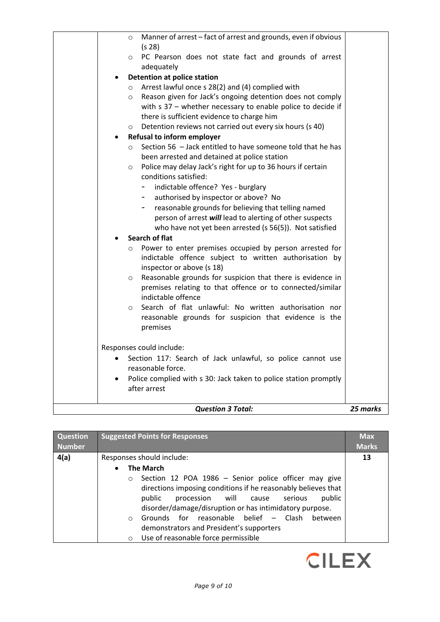| <b>Question 3 Total:</b>                                                                                                            | 25 marks |
|-------------------------------------------------------------------------------------------------------------------------------------|----------|
| Police complied with s 30: Jack taken to police station promptly<br>after arrest                                                    |          |
| reasonable force.                                                                                                                   |          |
| Responses could include:<br>Section 117: Search of Jack unlawful, so police cannot use                                              |          |
| premises                                                                                                                            |          |
| reasonable grounds for suspicion that evidence is the                                                                               |          |
| indictable offence<br>Search of flat unlawful: No written authorisation nor<br>$\circ$                                              |          |
| Reasonable grounds for suspicion that there is evidence in<br>$\circ$<br>premises relating to that offence or to connected/similar  |          |
| indictable offence subject to written authorisation by<br>inspector or above (s 18)                                                 |          |
| <b>Search of flat</b><br>Power to enter premises occupied by person arrested for<br>$\circ$                                         |          |
| who have not yet been arrested (s 56(5)). Not satisfied                                                                             |          |
| reasonable grounds for believing that telling named<br>person of arrest will lead to alerting of other suspects                     |          |
| authorised by inspector or above? No                                                                                                |          |
| indictable offence? Yes - burglary                                                                                                  |          |
| $\circ$<br>conditions satisfied:                                                                                                    |          |
| been arrested and detained at police station<br>Police may delay Jack's right for up to 36 hours if certain                         |          |
| Section 56 - Jack entitled to have someone told that he has<br>$\circ$                                                              |          |
| <b>Refusal to inform employer</b>                                                                                                   |          |
| there is sufficient evidence to charge him<br>Detention reviews not carried out every six hours (s 40)<br>$\circ$                   |          |
| with $s$ 37 – whether necessary to enable police to decide if                                                                       |          |
| Arrest lawful once s 28(2) and (4) complied with<br>$\circ$<br>Reason given for Jack's ongoing detention does not comply<br>$\circ$ |          |
| <b>Detention at police station</b>                                                                                                  |          |
| adequately                                                                                                                          |          |
| PC Pearson does not state fact and grounds of arrest<br>$\circ$                                                                     |          |
| Manner of arrest - fact of arrest and grounds, even if obvious<br>$\circ$<br>(s <sub>28</sub> )                                     |          |
|                                                                                                                                     |          |

| <b>Question</b> | <b>Suggested Points for Responses</b>                                                                                                                                                                                                                                                                                                                                              | <b>Max</b>   |
|-----------------|------------------------------------------------------------------------------------------------------------------------------------------------------------------------------------------------------------------------------------------------------------------------------------------------------------------------------------------------------------------------------------|--------------|
| <b>Number</b>   |                                                                                                                                                                                                                                                                                                                                                                                    | <b>Marks</b> |
| 4(a)            | Responses should include:                                                                                                                                                                                                                                                                                                                                                          | 13           |
|                 | <b>The March</b><br>Section 12 POA 1986 - Senior police officer may give<br>$\circ$<br>directions imposing conditions if he reasonably believes that<br>procession will cause<br>public<br>public<br>serious<br>disorder/damage/disruption or has intimidatory purpose.<br>Grounds for reasonable belief - Clash<br>between<br>$\circ$<br>demonstrators and President's supporters |              |
|                 | Use of reasonable force permissible<br>$\circ$                                                                                                                                                                                                                                                                                                                                     |              |